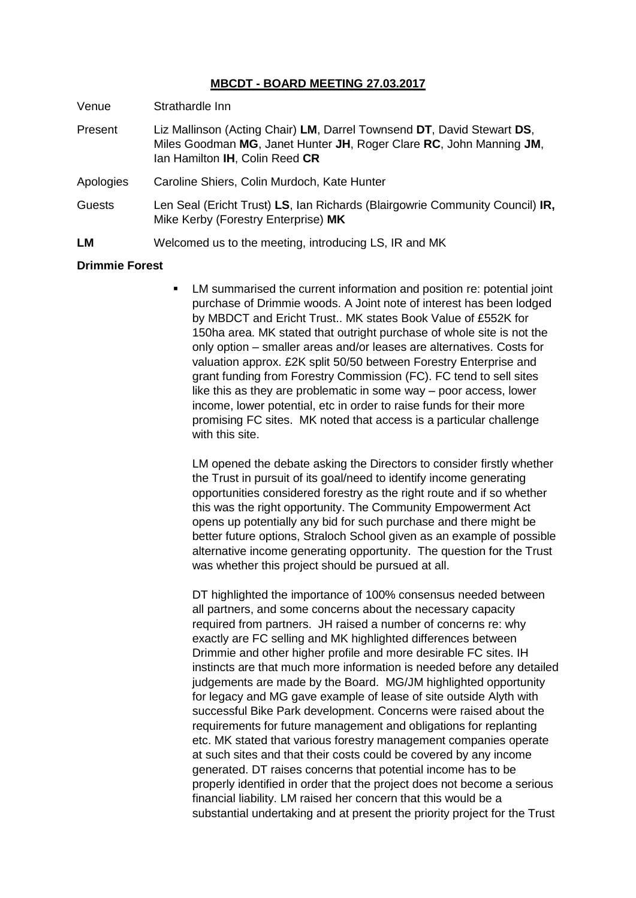### **MBCDT - BOARD MEETING 27.03.2017**

Venue Strathardle Inn

- Present Liz Mallinson (Acting Chair) **LM**, Darrel Townsend **DT**, David Stewart **DS**, Miles Goodman **MG**, Janet Hunter **JH**, Roger Clare **RC**, John Manning **JM**, Ian Hamilton **IH**, Colin Reed **CR**
- Apologies Caroline Shiers, Colin Murdoch, Kate Hunter
- Guests Len Seal (Ericht Trust) **LS**, Ian Richards (Blairgowrie Community Council) **IR,** Mike Kerby (Forestry Enterprise) **MK**
- **LM** Welcomed us to the meeting, introducing LS, IR and MK

#### **Drimmie Forest**

 LM summarised the current information and position re: potential joint purchase of Drimmie woods. A Joint note of interest has been lodged by MBDCT and Ericht Trust.. MK states Book Value of £552K for 150ha area. MK stated that outright purchase of whole site is not the only option – smaller areas and/or leases are alternatives. Costs for valuation approx. £2K split 50/50 between Forestry Enterprise and grant funding from Forestry Commission (FC). FC tend to sell sites like this as they are problematic in some way – poor access, lower income, lower potential, etc in order to raise funds for their more promising FC sites. MK noted that access is a particular challenge with this site.

LM opened the debate asking the Directors to consider firstly whether the Trust in pursuit of its goal/need to identify income generating opportunities considered forestry as the right route and if so whether this was the right opportunity. The Community Empowerment Act opens up potentially any bid for such purchase and there might be better future options, Straloch School given as an example of possible alternative income generating opportunity. The question for the Trust was whether this project should be pursued at all.

DT highlighted the importance of 100% consensus needed between all partners, and some concerns about the necessary capacity required from partners. JH raised a number of concerns re: why exactly are FC selling and MK highlighted differences between Drimmie and other higher profile and more desirable FC sites. IH instincts are that much more information is needed before any detailed judgements are made by the Board. MG/JM highlighted opportunity for legacy and MG gave example of lease of site outside Alyth with successful Bike Park development. Concerns were raised about the requirements for future management and obligations for replanting etc. MK stated that various forestry management companies operate at such sites and that their costs could be covered by any income generated. DT raises concerns that potential income has to be properly identified in order that the project does not become a serious financial liability. LM raised her concern that this would be a substantial undertaking and at present the priority project for the Trust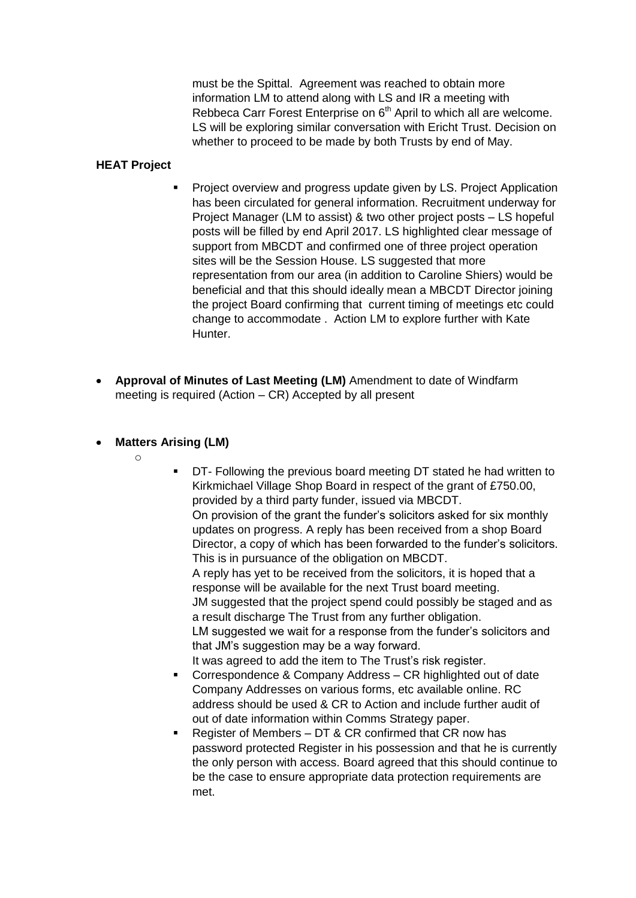must be the Spittal. Agreement was reached to obtain more information LM to attend along with LS and IR a meeting with Rebbeca Carr Forest Enterprise on 6<sup>th</sup> April to which all are welcome. LS will be exploring similar conversation with Ericht Trust. Decision on whether to proceed to be made by both Trusts by end of May.

#### **HEAT Project**

- Project overview and progress update given by LS. Project Application has been circulated for general information. Recruitment underway for Project Manager (LM to assist) & two other project posts – LS hopeful posts will be filled by end April 2017. LS highlighted clear message of support from MBCDT and confirmed one of three project operation sites will be the Session House. LS suggested that more representation from our area (in addition to Caroline Shiers) would be beneficial and that this should ideally mean a MBCDT Director joining the project Board confirming that current timing of meetings etc could change to accommodate . Action LM to explore further with Kate Hunter.
- $\bullet$ **Approval of Minutes of Last Meeting (LM)** Amendment to date of Windfarm meeting is required (Action – CR) Accepted by all present
- **Matters Arising (LM)**
	- o
- **DT- Following the previous board meeting DT stated he had written to** Kirkmichael Village Shop Board in respect of the grant of £750.00, provided by a third party funder, issued via MBCDT. On provision of the grant the funder's solicitors asked for six monthly updates on progress. A reply has been received from a shop Board Director, a copy of which has been forwarded to the funder's solicitors. This is in pursuance of the obligation on MBCDT. A reply has yet to be received from the solicitors, it is hoped that a response will be available for the next Trust board meeting. JM suggested that the project spend could possibly be staged and as a result discharge The Trust from any further obligation. LM suggested we wait for a response from the funder's solicitors and that JM's suggestion may be a way forward. It was agreed to add the item to The Trust's risk register.
- **Correspondence & Company Address CR highlighted out of date** Company Addresses on various forms, etc available online. RC address should be used & CR to Action and include further audit of out of date information within Comms Strategy paper.
- Register of Members DT & CR confirmed that CR now has password protected Register in his possession and that he is currently the only person with access. Board agreed that this should continue to be the case to ensure appropriate data protection requirements are met.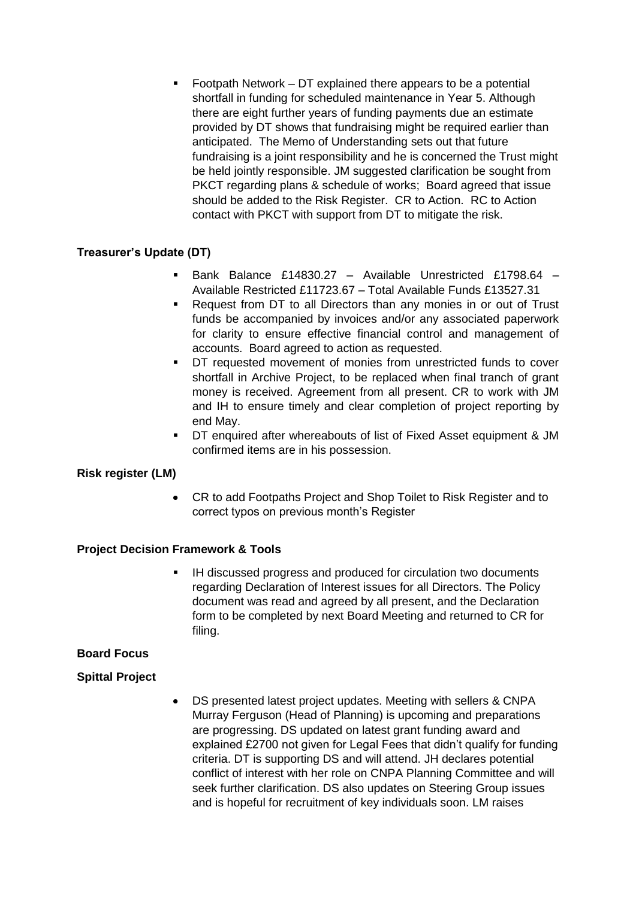Footpath Network – DT explained there appears to be a potential shortfall in funding for scheduled maintenance in Year 5. Although there are eight further years of funding payments due an estimate provided by DT shows that fundraising might be required earlier than anticipated. The Memo of Understanding sets out that future fundraising is a joint responsibility and he is concerned the Trust might be held jointly responsible. JM suggested clarification be sought from PKCT regarding plans & schedule of works; Board agreed that issue should be added to the Risk Register. CR to Action. RC to Action contact with PKCT with support from DT to mitigate the risk.

# **Treasurer's Update (DT)**

- Bank Balance £14830.27 Available Unrestricted £1798.64 Available Restricted £11723.67 – Total Available Funds £13527.31
- Request from DT to all Directors than any monies in or out of Trust funds be accompanied by invoices and/or any associated paperwork for clarity to ensure effective financial control and management of accounts. Board agreed to action as requested.
- DT requested movement of monies from unrestricted funds to cover shortfall in Archive Project, to be replaced when final tranch of grant money is received. Agreement from all present. CR to work with JM and IH to ensure timely and clear completion of project reporting by end May.
- DT enquired after whereabouts of list of Fixed Asset equipment & JM confirmed items are in his possession.

# **Risk register (LM)**

CR to add Footpaths Project and Shop Toilet to Risk Register and to  $\bullet$ correct typos on previous month's Register

#### **Project Decision Framework & Tools**

 IH discussed progress and produced for circulation two documents regarding Declaration of Interest issues for all Directors. The Policy document was read and agreed by all present, and the Declaration form to be completed by next Board Meeting and returned to CR for filing.

#### **Board Focus**

# **Spittal Project**

DS presented latest project updates. Meeting with sellers & CNPA  $\bullet$ Murray Ferguson (Head of Planning) is upcoming and preparations are progressing. DS updated on latest grant funding award and explained £2700 not given for Legal Fees that didn't qualify for funding criteria. DT is supporting DS and will attend. JH declares potential conflict of interest with her role on CNPA Planning Committee and will seek further clarification. DS also updates on Steering Group issues and is hopeful for recruitment of key individuals soon. LM raises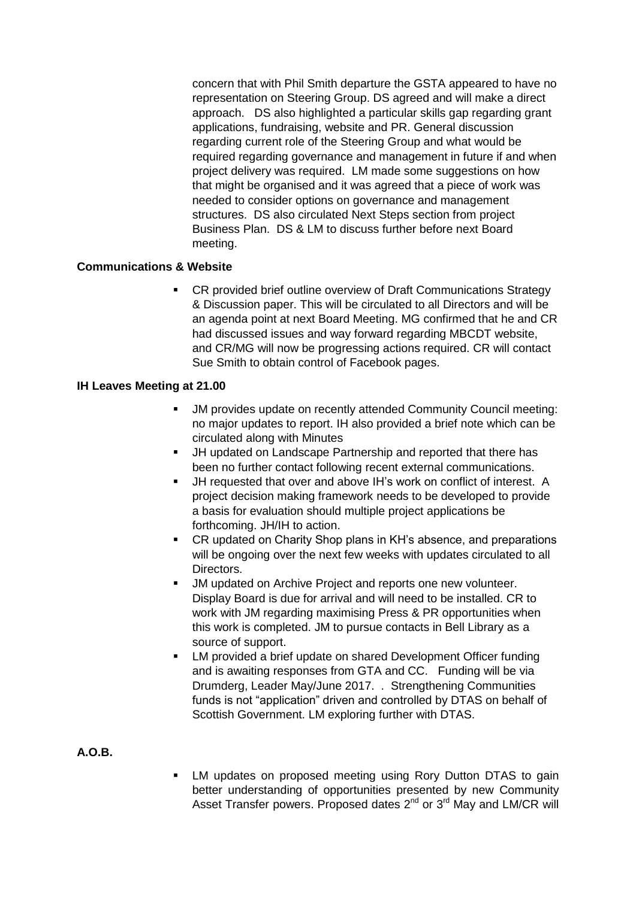concern that with Phil Smith departure the GSTA appeared to have no representation on Steering Group. DS agreed and will make a direct approach. DS also highlighted a particular skills gap regarding grant applications, fundraising, website and PR. General discussion regarding current role of the Steering Group and what would be required regarding governance and management in future if and when project delivery was required. LM made some suggestions on how that might be organised and it was agreed that a piece of work was needed to consider options on governance and management structures. DS also circulated Next Steps section from project Business Plan. DS & LM to discuss further before next Board meeting.

### **Communications & Website**

**-** CR provided brief outline overview of Draft Communications Strategy & Discussion paper. This will be circulated to all Directors and will be an agenda point at next Board Meeting. MG confirmed that he and CR had discussed issues and way forward regarding MBCDT website, and CR/MG will now be progressing actions required. CR will contact Sue Smith to obtain control of Facebook pages.

#### **IH Leaves Meeting at 21.00**

- JM provides update on recently attended Community Council meeting: no major updates to report. IH also provided a brief note which can be circulated along with Minutes
- JH updated on Landscape Partnership and reported that there has been no further contact following recent external communications.
- JH requested that over and above IH's work on conflict of interest. A project decision making framework needs to be developed to provide a basis for evaluation should multiple project applications be forthcoming. JH/IH to action.
- CR updated on Charity Shop plans in KH's absence, and preparations will be ongoing over the next few weeks with updates circulated to all Directors.
- JM updated on Archive Project and reports one new volunteer. Display Board is due for arrival and will need to be installed. CR to work with JM regarding maximising Press & PR opportunities when this work is completed. JM to pursue contacts in Bell Library as a source of support.
- **EXECT** LM provided a brief update on shared Development Officer funding and is awaiting responses from GTA and CC. Funding will be via Drumderg, Leader May/June 2017. . Strengthening Communities funds is not "application" driven and controlled by DTAS on behalf of Scottish Government. LM exploring further with DTAS.

# **A.O.B.**

 LM updates on proposed meeting using Rory Dutton DTAS to gain better understanding of opportunities presented by new Community Asset Transfer powers. Proposed dates 2<sup>nd</sup> or 3<sup>rd</sup> May and LM/CR will